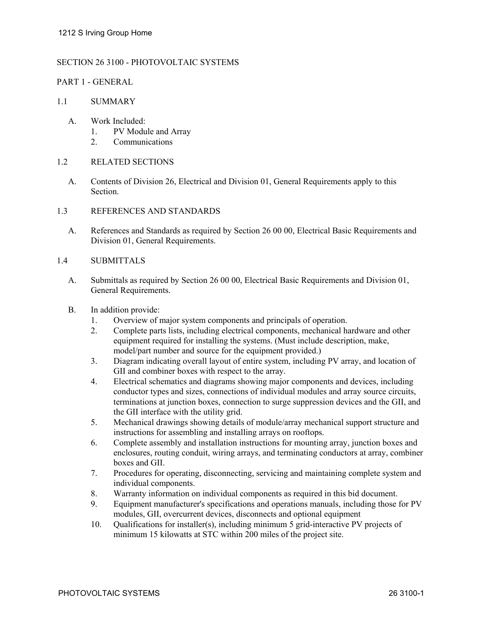## SECTION 26 3100 - PHOTOVOLTAIC SYSTEMS

### PART 1 - GENERAL

### 1.1 SUMMARY

- A. Work Included:
	- 1. PV Module and Array
	- 2. Communications
- 1.2 RELATED SECTIONS
	- A. Contents of Division 26, Electrical and Division 01, General Requirements apply to this Section.
- 1.3 REFERENCES AND STANDARDS
	- A. References and Standards as required by Section 26 00 00, Electrical Basic Requirements and Division 01, General Requirements.

#### 1.4 SUBMITTALS

- A. Submittals as required by Section 26 00 00, Electrical Basic Requirements and Division 01, General Requirements.
- B. In addition provide:
	- 1. Overview of major system components and principals of operation.
	- 2. Complete parts lists, including electrical components, mechanical hardware and other equipment required for installing the systems. (Must include description, make, model/part number and source for the equipment provided.)
	- 3. Diagram indicating overall layout of entire system, including PV array, and location of GII and combiner boxes with respect to the array.
	- 4. Electrical schematics and diagrams showing major components and devices, including conductor types and sizes, connections of individual modules and array source circuits, terminations at junction boxes, connection to surge suppression devices and the GII, and the GII interface with the utility grid.
	- 5. Mechanical drawings showing details of module/array mechanical support structure and instructions for assembling and installing arrays on rooftops.
	- 6. Complete assembly and installation instructions for mounting array, junction boxes and enclosures, routing conduit, wiring arrays, and terminating conductors at array, combiner boxes and GII.
	- 7. Procedures for operating, disconnecting, servicing and maintaining complete system and individual components.
	- 8. Warranty information on individual components as required in this bid document.
	- 9. Equipment manufacturer's specifications and operations manuals, including those for PV modules, GII, overcurrent devices, disconnects and optional equipment
	- 10. Qualifications for installer(s), including minimum 5 grid-interactive PV projects of minimum 15 kilowatts at STC within 200 miles of the project site.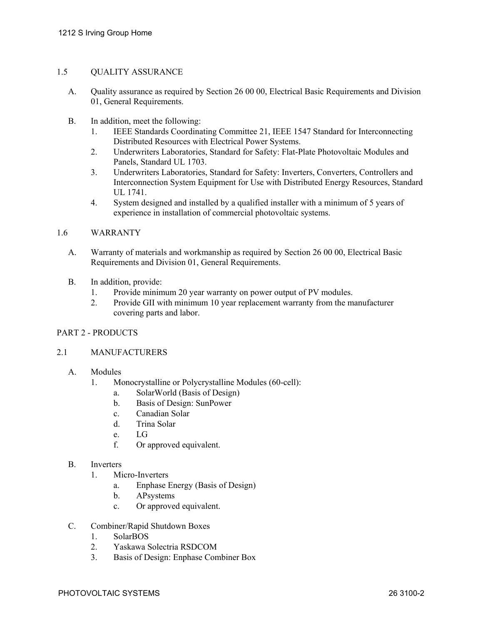# 1.5 QUALITY ASSURANCE

- A. Quality assurance as required by Section 26 00 00, Electrical Basic Requirements and Division 01, General Requirements.
- B. In addition, meet the following:
	- 1. IEEE Standards Coordinating Committee 21, IEEE 1547 Standard for Interconnecting Distributed Resources with Electrical Power Systems.
	- 2. Underwriters Laboratories, Standard for Safety: Flat-Plate Photovoltaic Modules and Panels, Standard UL 1703.
	- 3. Underwriters Laboratories, Standard for Safety: Inverters, Converters, Controllers and Interconnection System Equipment for Use with Distributed Energy Resources, Standard UL 1741.
	- 4. System designed and installed by a qualified installer with a minimum of 5 years of experience in installation of commercial photovoltaic systems.

### 1.6 WARRANTY

- A. Warranty of materials and workmanship as required by Section 26 00 00, Electrical Basic Requirements and Division 01, General Requirements.
- B. In addition, provide:
	- 1. Provide minimum 20 year warranty on power output of PV modules.
	- 2. Provide GII with minimum 10 year replacement warranty from the manufacturer covering parts and labor.

### PART 2 - PRODUCTS

### 2.1 MANUFACTURERS

- A. Modules
	- 1. Monocrystalline or Polycrystalline Modules (60-cell):
		- a. SolarWorld (Basis of Design)
		- b. Basis of Design: SunPower
		- c. Canadian Solar
		- d. Trina Solar
		- e. LG
		- f. Or approved equivalent.

### B. Inverters

- 1. Micro-Inverters
	- a. Enphase Energy (Basis of Design)
	- b. APsystems
	- c. Or approved equivalent.
- C. Combiner/Rapid Shutdown Boxes
	- 1. SolarBOS
	- 2. Yaskawa Solectria RSDCOM
	- 3. Basis of Design: Enphase Combiner Box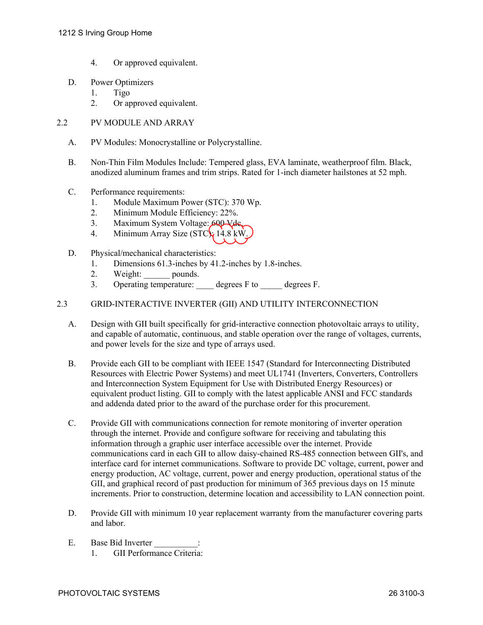- 4. Or approved equivalent.
- D. Power Optimizers
	- 1. Tigo
	- 2. Or approved equivalent.
- 2.2 PV MODULE AND ARRAY
	- A. PV Modules: Monocrystalline or Polycrystalline.
	- B. Non-Thin Film Modules Include: Tempered glass, EVA laminate, weatherproof film. Black, anodized aluminum frames and trim strips. Rated for 1-inch diameter hailstones at 52 mph.
	- C. Performance requirements:
		- 1. Module Maximum Power (STC): 370 Wp.
		- 2. Minimum Module Efficiency: 22%.
		- 3. Maximum System Voltage: 600 Vds.
		- 4. Minimum Array Size ( $STC\$  14.8 kW.
	- D. Physical/mechanical characteristics:
		- 1. Dimensions 61.3-inches by 41.2-inches by 1.8-inches.
		- 2. Weight: pounds.
		- 3. Operating temperature: degrees F to degrees F.
- 2.3 GRID-INTERACTIVE INVERTER (GII) AND UTILITY INTERCONNECTION
	- A. Design with GII built specifically for grid-interactive connection photovoltaic arrays to utility, and capable of automatic, continuous, and stable operation over the range of voltages, currents, and power levels for the size and type of arrays used.
	- B. Provide each GII to be compliant with IEEE 1547 (Standard for Interconnecting Distributed Resources with Electric Power Systems) and meet UL1741 (Inverters, Converters, Controllers and Interconnection System Equipment for Use with Distributed Energy Resources) or equivalent product listing. GII to comply with the latest applicable ANSI and FCC standards and addenda dated prior to the award of the purchase order for this procurement.
	- C. Provide GII with communications connection for remote monitoring of inverter operation through the internet. Provide and configure software for receiving and tabulating this information through a graphic user interface accessible over the internet. Provide communications card in each GII to allow daisy-chained RS-485 connection between GII's, and interface card for internet communications. Software to provide DC voltage, current, power and energy production, AC voltage, current, power and energy production, operational status of the GII, and graphical record of past production for minimum of 365 previous days on 15 minute increments. Prior to construction, determine location and accessibility to LAN connection point.
	- D. Provide GII with minimum 10 year replacement warranty from the manufacturer covering parts and labor.
	- E. Base Bid Inverter 1. GII Performance Criteria: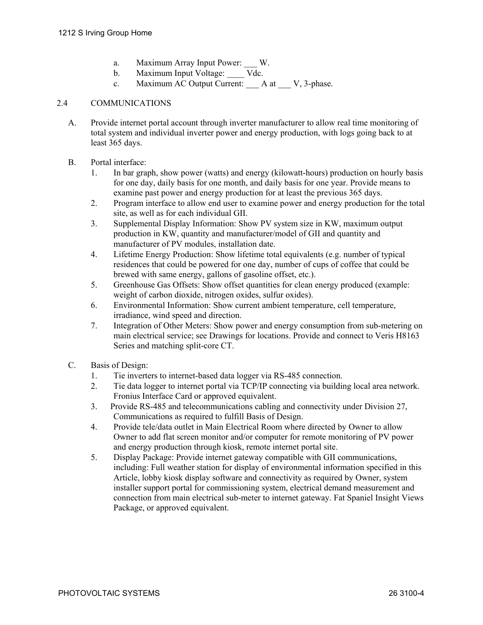- a. Maximum Array Input Power: W.
- b. Maximum Input Voltage: Vdc.
- c. Maximum AC Output Current: A at V, 3-phase.

# 2.4 COMMUNICATIONS

- A. Provide internet portal account through inverter manufacturer to allow real time monitoring of total system and individual inverter power and energy production, with logs going back to at least 365 days.
- B. Portal interface:
	- 1. In bar graph, show power (watts) and energy (kilowatt-hours) production on hourly basis for one day, daily basis for one month, and daily basis for one year. Provide means to examine past power and energy production for at least the previous 365 days.
	- 2. Program interface to allow end user to examine power and energy production for the total site, as well as for each individual GII.
	- 3. Supplemental Display Information: Show PV system size in KW, maximum output production in KW, quantity and manufacturer/model of GII and quantity and manufacturer of PV modules, installation date.
	- 4. Lifetime Energy Production: Show lifetime total equivalents (e.g. number of typical residences that could be powered for one day, number of cups of coffee that could be brewed with same energy, gallons of gasoline offset, etc.).
	- 5. Greenhouse Gas Offsets: Show offset quantities for clean energy produced (example: weight of carbon dioxide, nitrogen oxides, sulfur oxides).
	- 6. Environmental Information: Show current ambient temperature, cell temperature, irradiance, wind speed and direction.
	- 7. Integration of Other Meters: Show power and energy consumption from sub-metering on main electrical service; see Drawings for locations. Provide and connect to Veris H8163 Series and matching split-core CT.
- C. Basis of Design:
	- 1. Tie inverters to internet-based data logger via RS-485 connection.
	- 2. Tie data logger to internet portal via TCP/IP connecting via building local area network. Fronius Interface Card or approved equivalent.
	- 3. Provide RS-485 and telecommunications cabling and connectivity under Division 27, Communications as required to fulfill Basis of Design.
	- 4. Provide tele/data outlet in Main Electrical Room where directed by Owner to allow Owner to add flat screen monitor and/or computer for remote monitoring of PV power and energy production through kiosk, remote internet portal site.
	- 5. Display Package: Provide internet gateway compatible with GII communications, including: Full weather station for display of environmental information specified in this Article, lobby kiosk display software and connectivity as required by Owner, system installer support portal for commissioning system, electrical demand measurement and connection from main electrical sub-meter to internet gateway. Fat Spaniel Insight Views Package, or approved equivalent.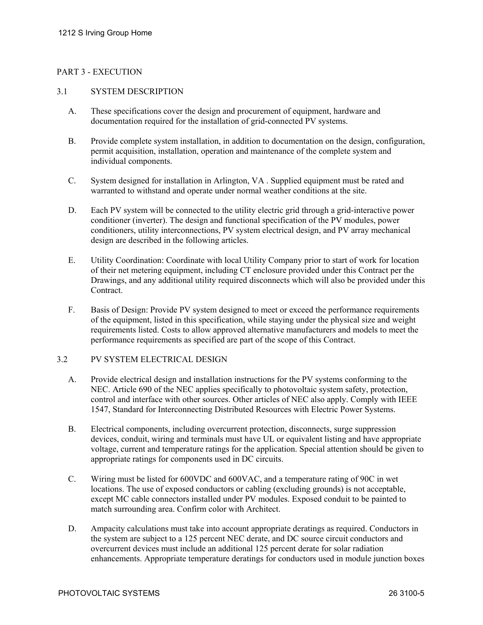# PART 3 - EXECUTION

# 3.1 SYSTEM DESCRIPTION

- A. These specifications cover the design and procurement of equipment, hardware and documentation required for the installation of grid-connected PV systems.
- B. Provide complete system installation, in addition to documentation on the design, configuration, permit acquisition, installation, operation and maintenance of the complete system and individual components.
- C. System designed for installation in Arlington, VA . Supplied equipment must be rated and warranted to withstand and operate under normal weather conditions at the site.
- D. Each PV system will be connected to the utility electric grid through a grid-interactive power conditioner (inverter). The design and functional specification of the PV modules, power conditioners, utility interconnections, PV system electrical design, and PV array mechanical design are described in the following articles.
- E. Utility Coordination: Coordinate with local Utility Company prior to start of work for location of their net metering equipment, including CT enclosure provided under this Contract per the Drawings, and any additional utility required disconnects which will also be provided under this Contract.
- F. Basis of Design: Provide PV system designed to meet or exceed the performance requirements of the equipment, listed in this specification, while staying under the physical size and weight requirements listed. Costs to allow approved alternative manufacturers and models to meet the performance requirements as specified are part of the scope of this Contract.

### 3.2 PV SYSTEM ELECTRICAL DESIGN

- A. Provide electrical design and installation instructions for the PV systems conforming to the NEC. Article 690 of the NEC applies specifically to photovoltaic system safety, protection, control and interface with other sources. Other articles of NEC also apply. Comply with IEEE 1547, Standard for Interconnecting Distributed Resources with Electric Power Systems.
- B. Electrical components, including overcurrent protection, disconnects, surge suppression devices, conduit, wiring and terminals must have UL or equivalent listing and have appropriate voltage, current and temperature ratings for the application. Special attention should be given to appropriate ratings for components used in DC circuits.
- C. Wiring must be listed for 600VDC and 600VAC, and a temperature rating of 90C in wet locations. The use of exposed conductors or cabling (excluding grounds) is not acceptable, except MC cable connectors installed under PV modules. Exposed conduit to be painted to match surrounding area. Confirm color with Architect.
- D. Ampacity calculations must take into account appropriate deratings as required. Conductors in the system are subject to a 125 percent NEC derate, and DC source circuit conductors and overcurrent devices must include an additional 125 percent derate for solar radiation enhancements. Appropriate temperature deratings for conductors used in module junction boxes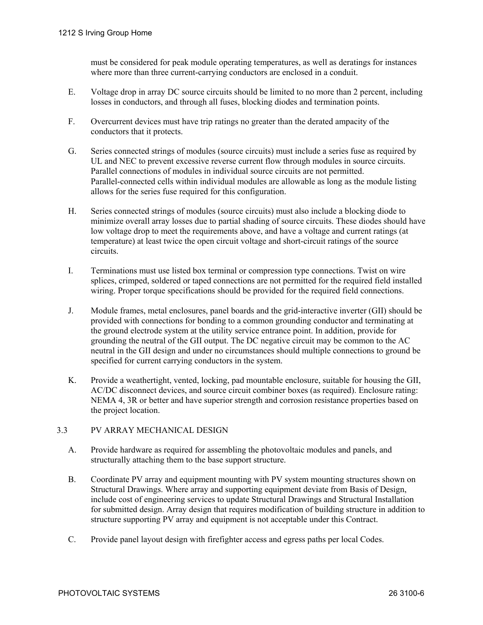must be considered for peak module operating temperatures, as well as deratings for instances where more than three current-carrying conductors are enclosed in a conduit.

- E. Voltage drop in array DC source circuits should be limited to no more than 2 percent, including losses in conductors, and through all fuses, blocking diodes and termination points.
- F. Overcurrent devices must have trip ratings no greater than the derated ampacity of the conductors that it protects.
- G. Series connected strings of modules (source circuits) must include a series fuse as required by UL and NEC to prevent excessive reverse current flow through modules in source circuits. Parallel connections of modules in individual source circuits are not permitted. Parallel-connected cells within individual modules are allowable as long as the module listing allows for the series fuse required for this configuration.
- H. Series connected strings of modules (source circuits) must also include a blocking diode to minimize overall array losses due to partial shading of source circuits. These diodes should have low voltage drop to meet the requirements above, and have a voltage and current ratings (at temperature) at least twice the open circuit voltage and short-circuit ratings of the source circuits.
- I. Terminations must use listed box terminal or compression type connections. Twist on wire splices, crimped, soldered or taped connections are not permitted for the required field installed wiring. Proper torque specifications should be provided for the required field connections.
- J. Module frames, metal enclosures, panel boards and the grid-interactive inverter (GII) should be provided with connections for bonding to a common grounding conductor and terminating at the ground electrode system at the utility service entrance point. In addition, provide for grounding the neutral of the GII output. The DC negative circuit may be common to the AC neutral in the GII design and under no circumstances should multiple connections to ground be specified for current carrying conductors in the system.
- K. Provide a weathertight, vented, locking, pad mountable enclosure, suitable for housing the GII, AC/DC disconnect devices, and source circuit combiner boxes (as required). Enclosure rating: NEMA 4, 3R or better and have superior strength and corrosion resistance properties based on the project location.

### 3.3 PV ARRAY MECHANICAL DESIGN

- A. Provide hardware as required for assembling the photovoltaic modules and panels, and structurally attaching them to the base support structure.
- B. Coordinate PV array and equipment mounting with PV system mounting structures shown on Structural Drawings. Where array and supporting equipment deviate from Basis of Design, include cost of engineering services to update Structural Drawings and Structural Installation for submitted design. Array design that requires modification of building structure in addition to structure supporting PV array and equipment is not acceptable under this Contract.
- C. Provide panel layout design with firefighter access and egress paths per local Codes.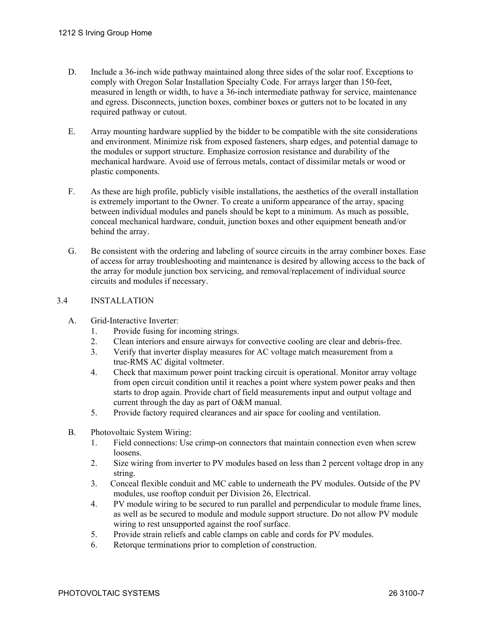- D. Include a 36-inch wide pathway maintained along three sides of the solar roof. Exceptions to comply with Oregon Solar Installation Specialty Code. For arrays larger than 150-feet, measured in length or width, to have a 36-inch intermediate pathway for service, maintenance and egress. Disconnects, junction boxes, combiner boxes or gutters not to be located in any required pathway or cutout.
- E. Array mounting hardware supplied by the bidder to be compatible with the site considerations and environment. Minimize risk from exposed fasteners, sharp edges, and potential damage to the modules or support structure. Emphasize corrosion resistance and durability of the mechanical hardware. Avoid use of ferrous metals, contact of dissimilar metals or wood or plastic components.
- F. As these are high profile, publicly visible installations, the aesthetics of the overall installation is extremely important to the Owner. To create a uniform appearance of the array, spacing between individual modules and panels should be kept to a minimum. As much as possible, conceal mechanical hardware, conduit, junction boxes and other equipment beneath and/or behind the array.
- G. Be consistent with the ordering and labeling of source circuits in the array combiner boxes. Ease of access for array troubleshooting and maintenance is desired by allowing access to the back of the array for module junction box servicing, and removal/replacement of individual source circuits and modules if necessary.

# 3.4 INSTALLATION

- A. Grid-Interactive Inverter:
	- 1. Provide fusing for incoming strings.
	- 2. Clean interiors and ensure airways for convective cooling are clear and debris-free.
	- 3. Verify that inverter display measures for AC voltage match measurement from a true-RMS AC digital voltmeter.
	- 4. Check that maximum power point tracking circuit is operational. Monitor array voltage from open circuit condition until it reaches a point where system power peaks and then starts to drop again. Provide chart of field measurements input and output voltage and current through the day as part of O&M manual.
	- 5. Provide factory required clearances and air space for cooling and ventilation.
- B. Photovoltaic System Wiring:
	- 1. Field connections: Use crimp-on connectors that maintain connection even when screw loosens.
	- 2. Size wiring from inverter to PV modules based on less than 2 percent voltage drop in any string.
	- 3. Conceal flexible conduit and MC cable to underneath the PV modules. Outside of the PV modules, use rooftop conduit per Division 26, Electrical.
	- 4. PV module wiring to be secured to run parallel and perpendicular to module frame lines, as well as be secured to module and module support structure. Do not allow PV module wiring to rest unsupported against the roof surface.
	- 5. Provide strain reliefs and cable clamps on cable and cords for PV modules.
	- 6. Retorque terminations prior to completion of construction.